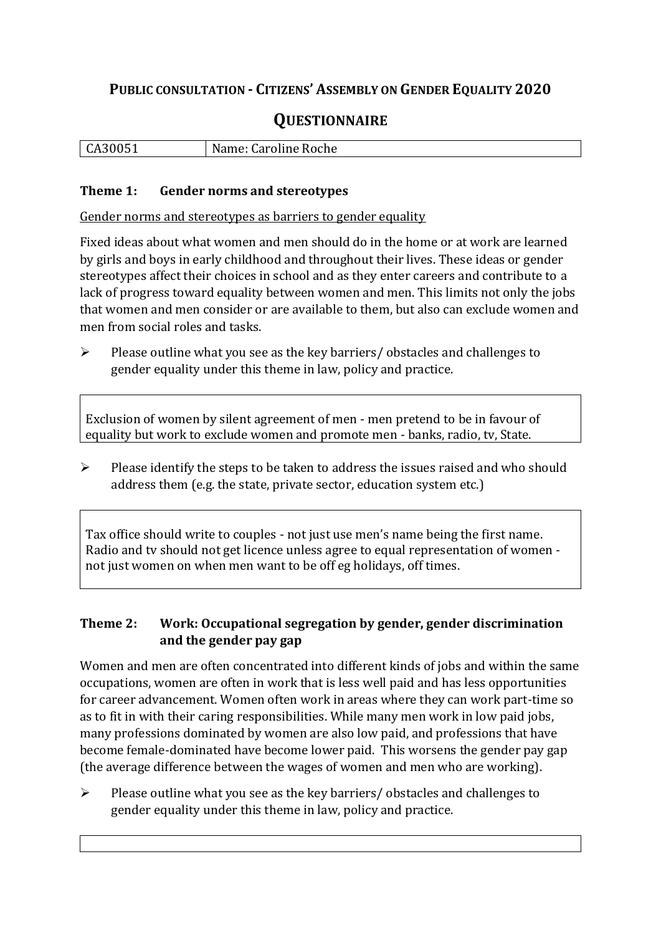## **PUBLIC CONSULTATION - CITIZENS' ASSEMBLY ON GENDER EQUALITY 2020**

# **QUESTIONNAIRE**

|  | l CA30051<br>ິ | oline Roche .<br>$\sim$<br>udl <sup>r</sup> |
|--|----------------|---------------------------------------------|
|--|----------------|---------------------------------------------|

#### **Theme 1: Gender norms and stereotypes**

Gender norms and stereotypes as barriers to gender equality

Fixed ideas about what women and men should do in the home or at work are learned by girls and boys in early childhood and throughout their lives. These ideas or gender stereotypes affect their choices in school and as they enter careers and contribute to a lack of progress toward equality between women and men. This limits not only the jobs that women and men consider or are available to them, but also can exclude women and men from social roles and tasks.

➢ Please outline what you see as the key barriers/ obstacles and challenges to gender equality under this theme in law, policy and practice.

Exclusion of women by silent agreement of men - men pretend to be in favour of equality but work to exclude women and promote men - banks, radio, tv, State.

➢ Please identify the steps to be taken to address the issues raised and who should address them (e.g. the state, private sector, education system etc.)

Tax office should write to couples - not just use men's name being the first name. Radio and tv should not get licence unless agree to equal representation of women not just women on when men want to be off eg holidays, off times.

#### **Theme 2: Work: Occupational segregation by gender, gender discrimination and the gender pay gap**

Women and men are often concentrated into different kinds of jobs and within the same occupations, women are often in work that is less well paid and has less opportunities for career advancement. Women often work in areas where they can work part-time so as to fit in with their caring responsibilities. While many men work in low paid jobs, many professions dominated by women are also low paid, and professions that have become female-dominated have become lower paid. This worsens the gender pay gap (the average difference between the wages of women and men who are working).

➢ Please outline what you see as the key barriers/ obstacles and challenges to gender equality under this theme in law, policy and practice.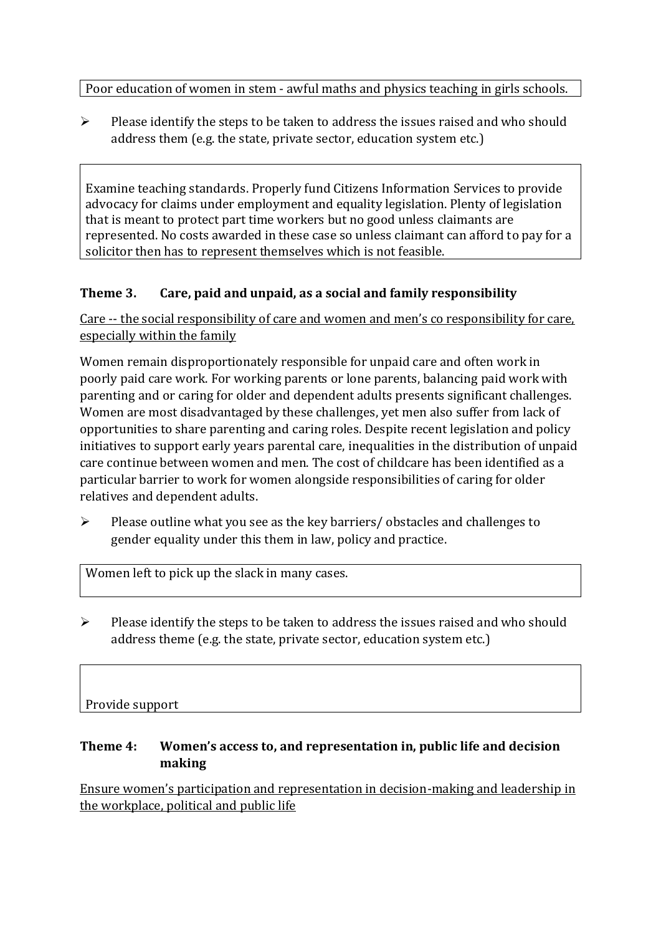Poor education of women in stem - awful maths and physics teaching in girls schools.

➢ Please identify the steps to be taken to address the issues raised and who should address them (e.g. the state, private sector, education system etc.)

Examine teaching standards. Properly fund Citizens Information Services to provide advocacy for claims under employment and equality legislation. Plenty of legislation that is meant to protect part time workers but no good unless claimants are represented. No costs awarded in these case so unless claimant can afford to pay for a solicitor then has to represent themselves which is not feasible.

#### **Theme 3. Care, paid and unpaid, as a social and family responsibility**

Care -- the social responsibility of care and women and men's co responsibility for care, especially within the family

Women remain disproportionately responsible for unpaid care and often work in poorly paid care work. For working parents or [lone parents,](https://aran.library.nuigalway.ie/bitstream/handle/10379/6044/Millar_and_Crosse_Activation_Report.pdf?sequence=1&isAllowed=y) balancing paid work with parenting and or caring for older and dependent adults presents significant challenges. Women are [most disadvantaged by these challenges,](https://eige.europa.eu/gender-equality-index/game/IE/W) yet men also suffer from lack of opportunities to share parenting and caring roles. Despite recent legislation and policy initiatives to support early years parental care, [inequalities in the distribution of unpaid](https://www.ihrec.ie/app/uploads/2019/07/Caring-and-Unpaid-Work-in-Ireland_Final.pdf)  [care](https://www.ihrec.ie/app/uploads/2019/07/Caring-and-Unpaid-Work-in-Ireland_Final.pdf) continue between women and men. The cost of childcare has been identified as a particular barrier to work for women alongside responsibilities of caring for older relatives and dependent adults.

➢ Please outline what you see as the key barriers/ obstacles and challenges to gender equality under this them in law, policy and practice.

Women left to pick up the slack in many cases.

 $\triangleright$  Please identify the steps to be taken to address the issues raised and who should address theme (e.g. the state, private sector, education system etc.)

### Provide support

#### **Theme 4: Women's access to, and representation in, public life and decision making**

Ensure women's participation and representation in decision-making and leadership in the workplace, political and public life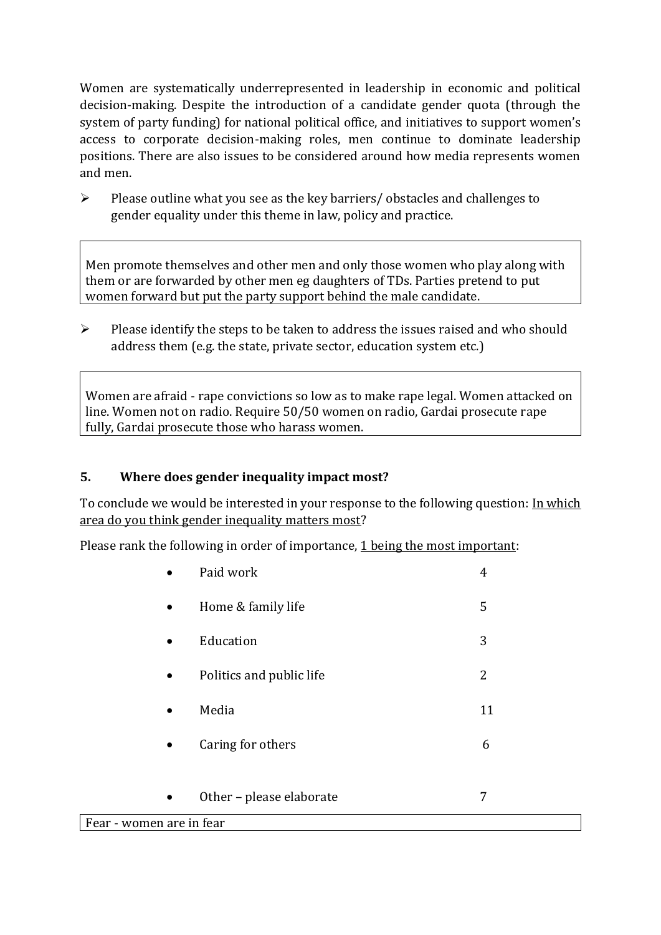Women are systematically underrepresented in leadership in [economic](https://eige.europa.eu/gender-equality-index/2019/compare-countries/power/2/bar) and [political](https://eige.europa.eu/gender-equality-index/2019/compare-countries/power/1/bar)  [decision-](https://eige.europa.eu/gender-equality-index/2019/compare-countries/power/1/bar)making. Despite the introduction of a candidate gender quota (through the system of party funding) for national political office, and [initiatives](https://betterbalance.ie/) to support women's access to corporate decision-making roles, men continue to dominate leadership positions. There are also issues to be considered around how media represents women and men.

➢ Please outline what you see as the key barriers/ obstacles and challenges to gender equality under this theme in law, policy and practice.

Men promote themselves and other men and only those women who play along with them or are forwarded by other men eg daughters of TDs. Parties pretend to put women forward but put the party support behind the male candidate.

➢ Please identify the steps to be taken to address the issues raised and who should address them (e.g. the state, private sector, education system etc.)

Women are afraid - rape convictions so low as to make rape legal. Women attacked on line. Women not on radio. Require 50/50 women on radio, Gardai prosecute rape fully, Gardai prosecute those who harass women.

#### **5. Where does gender inequality impact most?**

To conclude we would be interested in your response to the following question: In which area do you think gender inequality matters most?

Please rank the following in order of importance, 1 being the most important:

|                          | Paid work                | 4  |  |
|--------------------------|--------------------------|----|--|
| $\bullet$                | Home & family life       | 5  |  |
| $\bullet$                | Education                | 3  |  |
| $\bullet$                | Politics and public life | 2  |  |
| $\bullet$                | Media                    | 11 |  |
| $\bullet$                | Caring for others        | 6  |  |
|                          |                          |    |  |
| $\bullet$                | Other - please elaborate | 7  |  |
| Fear - women are in fear |                          |    |  |